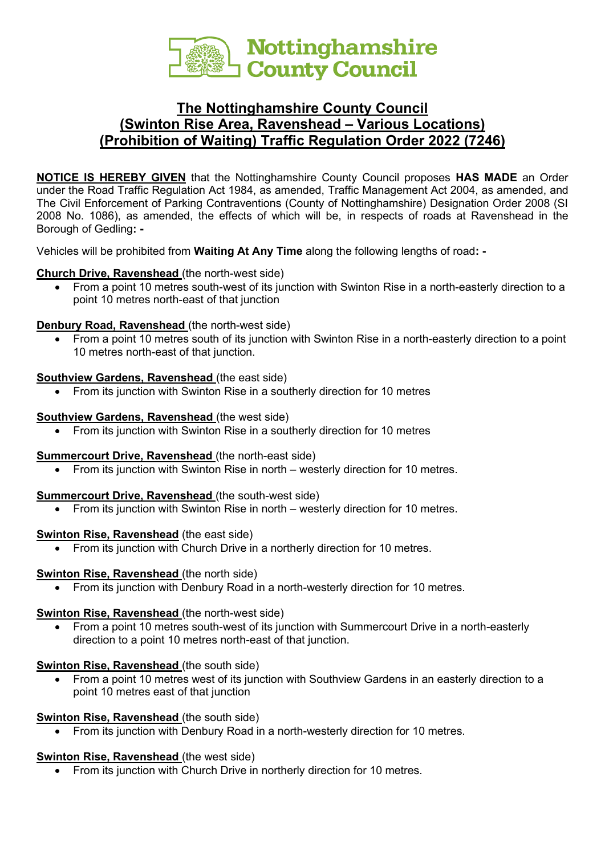

# **The Nottinghamshire County Council (Swinton Rise Area, Ravenshead – Various Locations) (Prohibition of Waiting) Traffic Regulation Order 2022 (7246)**

**NOTICE IS HEREBY GIVEN** that the Nottinghamshire County Council proposes **HAS MADE** an Order under the Road Traffic Regulation Act 1984, as amended, Traffic Management Act 2004, as amended, and The Civil Enforcement of Parking Contraventions (County of Nottinghamshire) Designation Order 2008 (SI 2008 No. 1086), as amended, the effects of which will be, in respects of roads at Ravenshead in the Borough of Gedling**: -**

Vehicles will be prohibited from **Waiting At Any Time** along the following lengths of road**: -**

## **Church Drive, Ravenshead** (the north-west side)

• From a point 10 metres south-west of its junction with Swinton Rise in a north-easterly direction to a point 10 metres north-east of that junction

## **Denbury Road, Ravenshead** (the north-west side)

• From a point 10 metres south of its junction with Swinton Rise in a north-easterly direction to a point 10 metres north-east of that junction.

## **Southview Gardens, Ravenshead** (the east side)

• From its junction with Swinton Rise in a southerly direction for 10 metres

## **Southview Gardens, Ravenshead** (the west side)

• From its junction with Swinton Rise in a southerly direction for 10 metres

## **Summercourt Drive, Ravenshead** (the north-east side)

• From its junction with Swinton Rise in north – westerly direction for 10 metres.

## **Summercourt Drive, Ravenshead** (the south-west side)

• From its junction with Swinton Rise in north – westerly direction for 10 metres.

## **Swinton Rise, Ravenshead** (the east side)

• From its junction with Church Drive in a northerly direction for 10 metres.

## **Swinton Rise, Ravenshead** (the north side)

• From its junction with Denbury Road in a north-westerly direction for 10 metres.

## **Swinton Rise, Ravenshead** (the north-west side)

• From a point 10 metres south-west of its junction with Summercourt Drive in a north-easterly direction to a point 10 metres north-east of that junction.

## **Swinton Rise, Ravenshead** (the south side)

• From a point 10 metres west of its junction with Southview Gardens in an easterly direction to a point 10 metres east of that junction

## **Swinton Rise, Ravenshead** (the south side)

• From its junction with Denbury Road in a north-westerly direction for 10 metres.

## **Swinton Rise, Ravenshead** (the west side)

• From its junction with Church Drive in northerly direction for 10 metres.